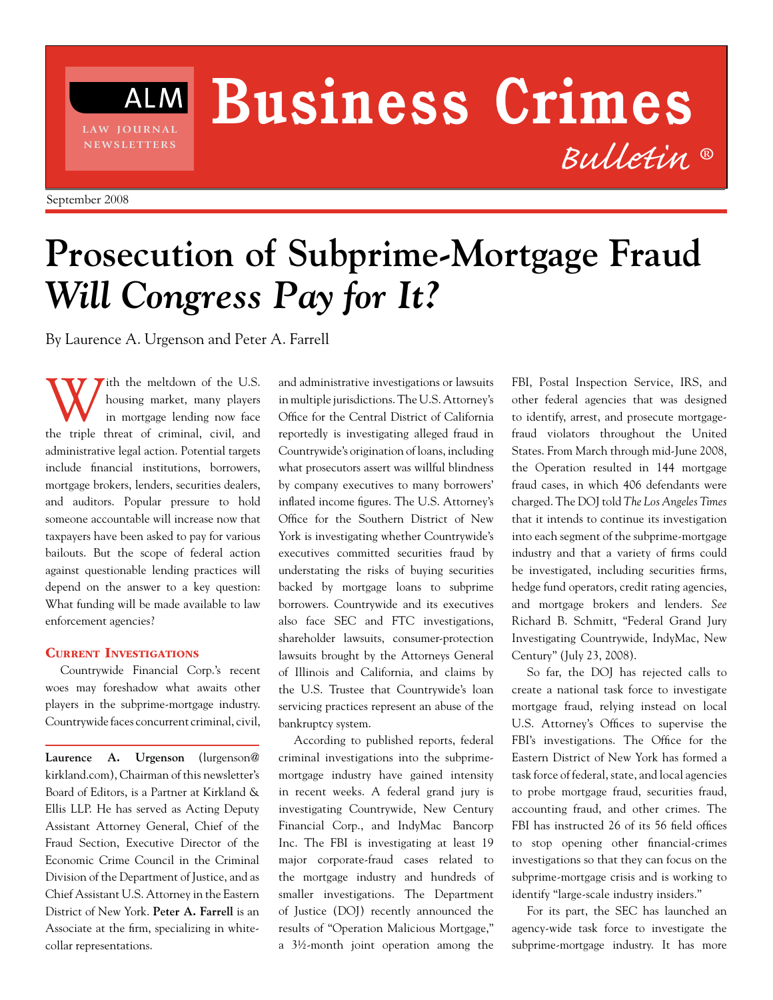# **Business Crimes** *Bulletin* **®**

**l aw j o u r n a l n e ws l e t t e r s**

**ALM** 

# **Prosecution of Subprime-Mortgage Fraud** *Will Congress Pay for It?*

By Laurence A. Urgenson and Peter A. Farrell

Ith the meltdown of the U.S. housing market, many players in mortgage lending now face the triple threat of criminal, civil, and administrative legal action. Potential targets include financial institutions, borrowers, mortgage brokers, lenders, securities dealers, and auditors. Popular pressure to hold someone accountable will increase now that taxpayers have been asked to pay for various bailouts. But the scope of federal action against questionable lending practices will depend on the answer to a key question: What funding will be made available to law enforcement agencies?

## Current Investigations

Countrywide Financial Corp.'s recent woes may foreshadow what awaits other players in the subprime-mortgage industry. Countrywide faces concurrent criminal, civil,

**Laurence A. Urgenson** (lurgenson@ kirkland.com), Chairman of this newsletter's Board of Editors, is a Partner at Kirkland & Ellis LLP. He has served as Acting Deputy Assistant Attorney General, Chief of the Fraud Section, Executive Director of the Economic Crime Council in the Criminal Division of the Department of Justice, and as Chief Assistant U.S. Attorney in the Eastern District of New York. **Peter A. Farrell** is an Associate at the firm, specializing in whitecollar representations.

and administrative investigations or lawsuits in multiple jurisdictions. The U.S. Attorney's Office for the Central District of California reportedly is investigating alleged fraud in Countrywide's origination of loans, including what prosecutors assert was willful blindness by company executives to many borrowers' inflated income figures. The U.S. Attorney's Office for the Southern District of New York is investigating whether Countrywide's executives committed securities fraud by understating the risks of buying securities backed by mortgage loans to subprime borrowers. Countrywide and its executives also face SEC and FTC investigations, shareholder lawsuits, consumer-protection lawsuits brought by the Attorneys General of Illinois and California, and claims by the U.S. Trustee that Countrywide's loan servicing practices represent an abuse of the bankruptcy system.

According to published reports, federal criminal investigations into the subprimemortgage industry have gained intensity in recent weeks. A federal grand jury is investigating Countrywide, New Century Financial Corp., and IndyMac 
Bancorp Inc. The FBI is investigating at least 19 major corporate-fraud cases related to the mortgage industry and hundreds of smaller investigations. The Department of Justice (DOJ) recently announced the results of "Operation Malicious Mortgage," a 3½-month joint operation among the

FBI, Postal Inspection Service, IRS, and other federal agencies that was designed to identify, arrest, and prosecute mortgagefraud violators throughout the United States. From March through mid-June 2008, the Operation resulted in 144 mortgage fraud cases, in which 406 defendants were charged. The DOJ told *The Los Angeles Times* that it intends to continue its investigation into each segment of the subprime-mortgage industry and that a variety of firms could be investigated, including securities firms, hedge fund operators, credit rating agencies, and mortgage brokers and lenders. *See* Richard B. Schmitt, "Federal Grand Jury Investigating Countrywide, IndyMac, New Century" (July 23, 2008).

So far, the DOJ has rejected calls to create a national task force to investigate mortgage fraud, relying instead on local U.S. Attorney's Offices to supervise the FBI's investigations. The Office for the Eastern District of New York has formed a task force of federal, state, and local agencies to probe mortgage fraud, securities fraud, accounting fraud, and other crimes. The FBI has instructed 26 of its 56 field offices to stop opening other financial-crimes investigations so that they can focus on the subprime-mortgage crisis and is working to identify "large-scale industry insiders."

For its part, the SEC has launched an agency-wide task force to investigate the subprime-mortgage industry. It has more